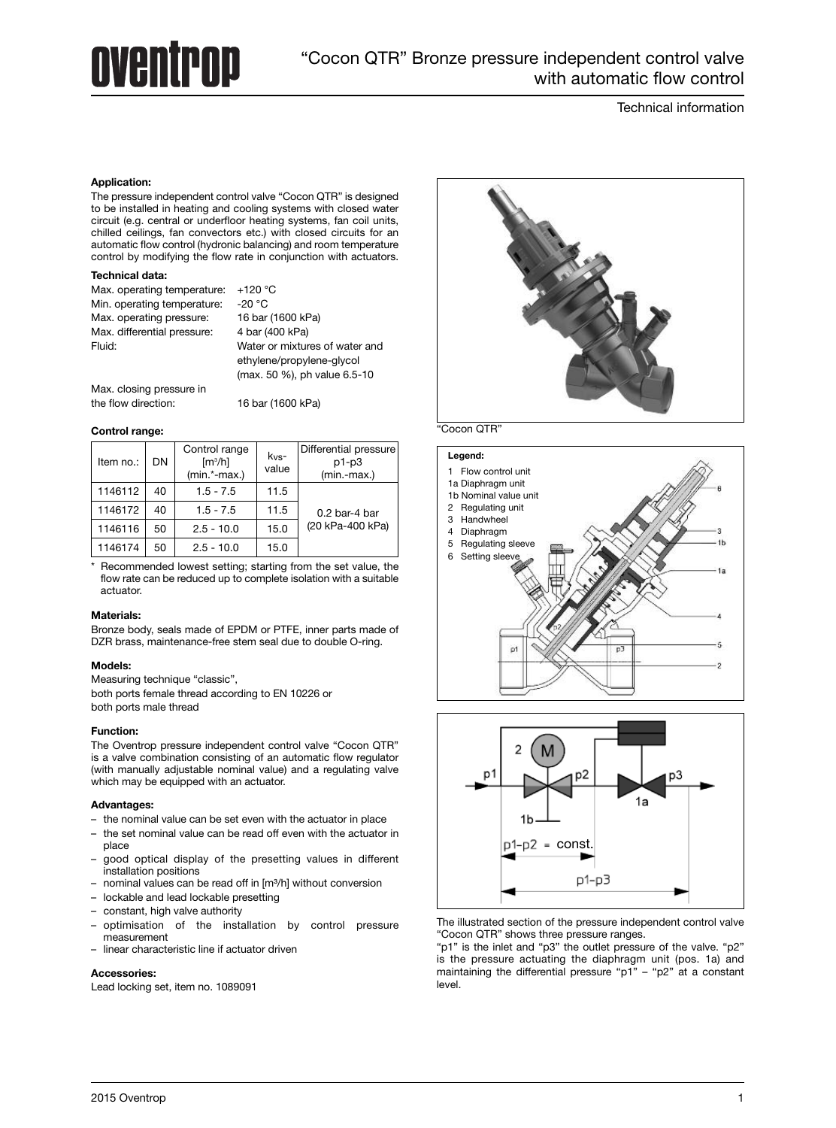# **AVANTPAD**

# Technical information

# **Application:**

The pressure independent control valve "Cocon QTR" is designed to be installed in heating and cooling systems with closed water circuit (e.g. central or underfloor heating systems, fan coil units, chilled ceilings, fan convectors etc.) with closed circuits for an automatic flow control (hydronic balancing) and room temperature control by modifying the flow rate in conjunction with actuators.

# **Technical data:**

| Max. operating temperature: | $+120 °C$                      |
|-----------------------------|--------------------------------|
| Min. operating temperature: | -20 $^{\circ}$ C               |
| Max. operating pressure:    | 16 bar (1600 kPa)              |
| Max. differential pressure: | 4 bar (400 kPa)                |
| Fluid:                      | Water or mixtures of water and |
|                             | ethylene/propylene-glycol      |
|                             | (max. 50 %), ph value 6.5-10   |

Max. closing pressure in the flow direction: 16 bar (1600 kPa)

# **Control range:**

| Item no.: | DN | Control range<br>$\left[\frac{m^3}{h}\right]$<br>$(min.*-max.)$ | $k_{VS}$ -<br>value | Differential pressure<br>$p1-p3$<br>$(min.-max.)$ |
|-----------|----|-----------------------------------------------------------------|---------------------|---------------------------------------------------|
| 1146112   | 40 | $1.5 - 7.5$                                                     | 11.5                |                                                   |
| 1146172   | 40 | $1.5 - 7.5$                                                     | 11.5                | $0.2$ bar-4 bar                                   |
| 1146116   | 50 | $2.5 - 10.0$                                                    | 15.0                | (20 kPa-400 kPa)                                  |
| 1146174   | 50 | $2.5 - 10.0$                                                    | 15.0                |                                                   |

\* Recommended lowest setting; starting from the set value, the flow rate can be reduced up to complete isolation with a suitable actuator.

### **Materials:**

Bronze body, seals made of EPDM or PTFE, inner parts made of DZR brass, maintenance-free stem seal due to double O-ring.

# **Models:**

Measuring technique "classic",

both ports female thread according to EN 10226 or both ports male thread

# **Function:**

The Oventrop pressure independent control valve "Cocon QTR" is a valve combination consisting of an automatic flow regulator (with manually adjustable nominal value) and a regulating valve which may be equipped with an actuator.

### **Advantages:**

- the nominal value can be set even with the actuator in place
- the set nominal value can be read off even with the actuator in place
- good optical display of the presetting values in different installation positions
- nominal values can be read off in [m³/h] without conversion
- lockable and lead lockable presetting
- constant, high valve authority
- optimisation of the installation by control pressure measurement
- linear characteristic line if actuator driven

# **Accessories:**

Lead locking set, item no. 1089091







The illustrated section of the pressure independent control valve "Cocon QTR" shows three pressure ranges.

"p1" is the inlet and "p3" the outlet pressure of the valve. "p2" is the pressure actuating the diaphragm unit (pos. 1a) and maintaining the differential pressure "p1" - "p2" at a constant level.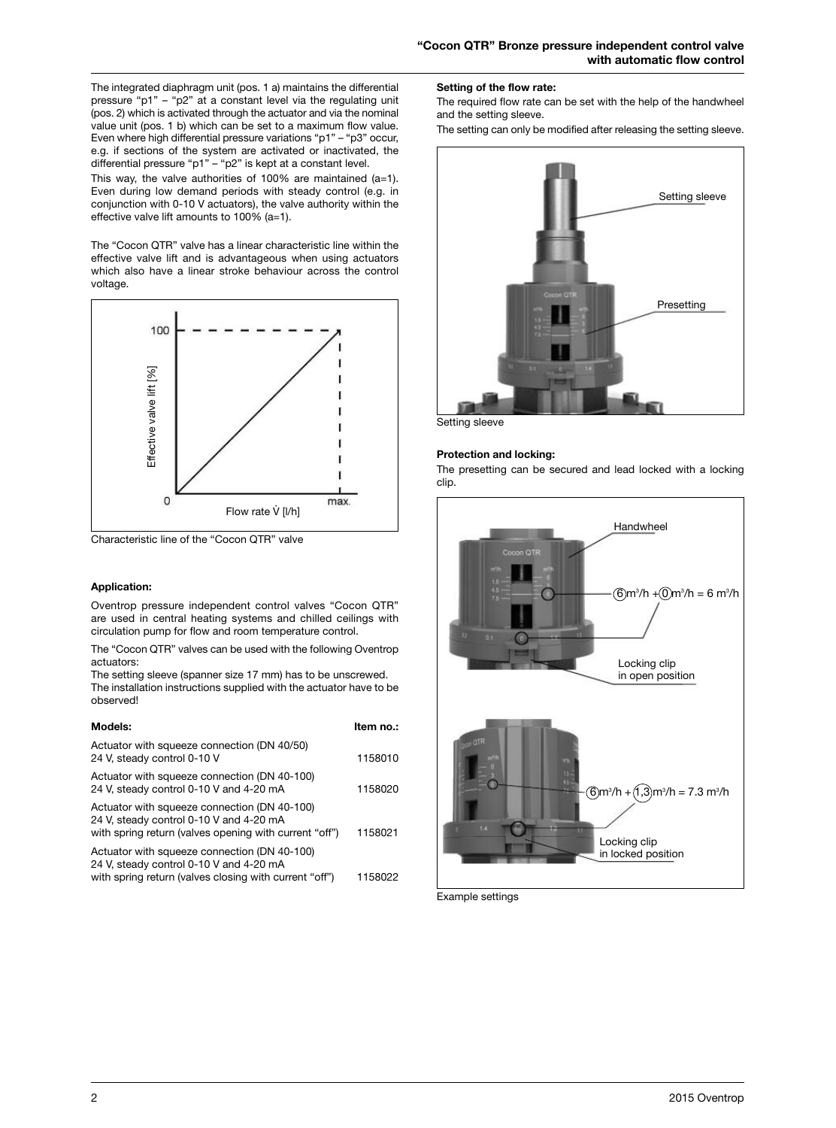The integrated diaphragm unit (pos. 1 a) maintains the differential pressure "p1" – "p2" at a constant level via the regulating unit (pos. 2) which is activated through the actuator and via the nominal value unit (pos. 1 b) which can be set to a maximum flow value. Even where high differential pressure variations "p1" – "p3" occur, e.g. if sections of the system are activated or inactivated, the differential pressure "p1" – "p2" is kept at a constant level.

This way, the valve authorities of  $100\%$  are maintained (a=1). Even during low demand periods with steady control (e.g. in conjunction with 0-10 V actuators), the valve authority within the effective valve lift amounts to 100% (a=1).

The "Cocon QTR" valve has a linear characteristic line within the effective valve lift and is advantageous when using actuators which also have a linear stroke behaviour across the control voltage.



Characteristic line of the "Cocon QTR" valve

# **Application:**

Oventrop pressure independent control valves "Cocon QTR" are used in central heating systems and chilled ceilings with circulation pump for flow and room temperature control.

The "Cocon QTR" valves can be used with the following Oventrop actuators:

The setting sleeve (spanner size 17 mm) has to be unscrewed. The installation instructions supplied with the actuator have to be observed!

| Models:                                                                                                                                           | ltem no.: |
|---------------------------------------------------------------------------------------------------------------------------------------------------|-----------|
| Actuator with squeeze connection (DN 40/50)<br>24 V, steady control 0-10 V                                                                        | 1158010   |
| Actuator with squeeze connection (DN 40-100)<br>24 V, steady control 0-10 V and 4-20 mA                                                           | 1158020   |
| Actuator with squeeze connection (DN 40-100)<br>24 V, steady control 0-10 V and 4-20 mA<br>with spring return (valves opening with current "off") | 1158021   |
| Actuator with squeeze connection (DN 40-100)<br>24 V, steady control 0-10 V and 4-20 mA<br>with spring return (valves closing with current "off") | 1158022   |

### **Setting of the flow rate:**

The required flow rate can be set with the help of the handwheel and the setting sleeve.

The setting can only be modified after releasing the setting sleeve.



Setting sleeve

# **Protection and locking:**

The presetting can be secured and lead locked with a locking clip.



Example settings